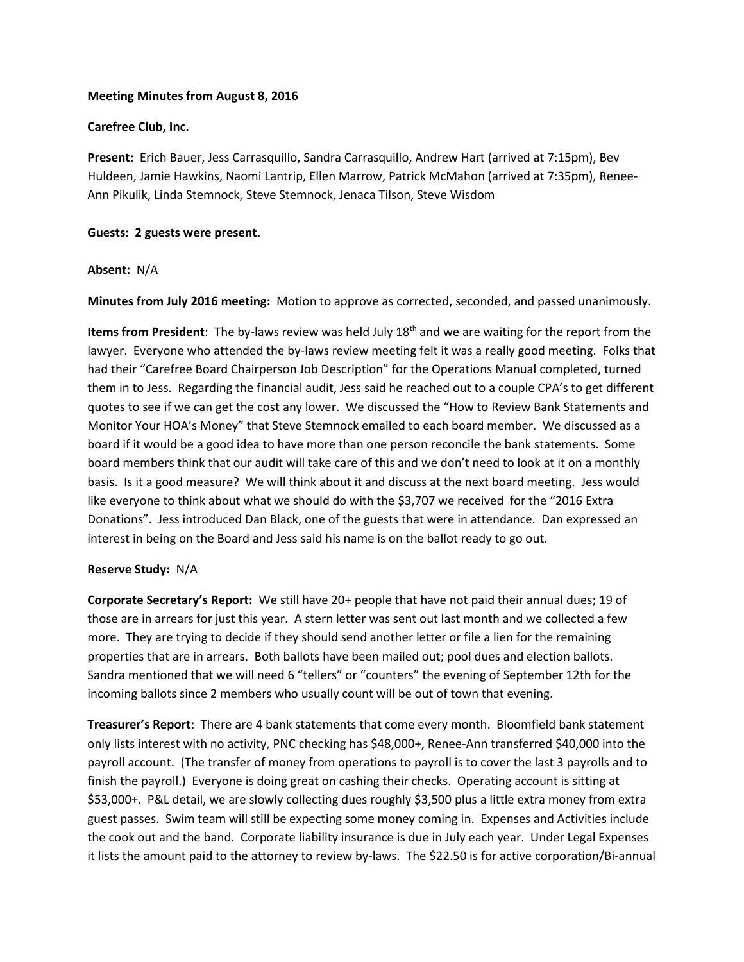## **Meeting Minutes from August 8, 2016**

## **Carefree Club, Inc.**

**Present:** Erich Bauer, Jess Carrasquillo, Sandra Carrasquillo, Andrew Hart (arrived at 7:15pm), Bev Huldeen, Jamie Hawkins, Naomi Lantrip, Ellen Marrow, Patrick McMahon (arrived at 7:35pm), Renee-Ann Pikulik, Linda Stemnock, Steve Stemnock, Jenaca Tilson, Steve Wisdom

## **Guests: 2 guests were present.**

## **Absent:** N/A

**Minutes from July 2016 meeting:** Motion to approve as corrected, seconded, and passed unanimously.

**Items from President**: The by-laws review was held July 18th and we are waiting for the report from the lawyer. Everyone who attended the by-laws review meeting felt it was a really good meeting. Folks that had their "Carefree Board Chairperson Job Description" for the Operations Manual completed, turned them in to Jess. Regarding the financial audit, Jess said he reached out to a couple CPA's to get different quotes to see if we can get the cost any lower. We discussed the "How to Review Bank Statements and Monitor Your HOA's Money" that Steve Stemnock emailed to each board member. We discussed as a board if it would be a good idea to have more than one person reconcile the bank statements. Some board members think that our audit will take care of this and we don't need to look at it on a monthly basis. Is it a good measure? We will think about it and discuss at the next board meeting. Jess would like everyone to think about what we should do with the \$3,707 we received for the "2016 Extra Donations". Jess introduced Dan Black, one of the guests that were in attendance. Dan expressed an interest in being on the Board and Jess said his name is on the ballot ready to go out.

#### **Reserve Study:** N/A

**Corporate Secretary's Report:** We still have 20+ people that have not paid their annual dues; 19 of those are in arrears for just this year. A stern letter was sent out last month and we collected a few more. They are trying to decide if they should send another letter or file a lien for the remaining properties that are in arrears. Both ballots have been mailed out; pool dues and election ballots. Sandra mentioned that we will need 6 "tellers" or "counters" the evening of September 12th for the incoming ballots since 2 members who usually count will be out of town that evening.

**Treasurer's Report:** There are 4 bank statements that come every month. Bloomfield bank statement only lists interest with no activity, PNC checking has \$48,000+, Renee-Ann transferred \$40,000 into the payroll account. (The transfer of money from operations to payroll is to cover the last 3 payrolls and to finish the payroll.) Everyone is doing great on cashing their checks. Operating account is sitting at \$53,000+. P&L detail, we are slowly collecting dues roughly \$3,500 plus a little extra money from extra guest passes. Swim team will still be expecting some money coming in. Expenses and Activities include the cook out and the band. Corporate liability insurance is due in July each year. Under Legal Expenses it lists the amount paid to the attorney to review by-laws. The \$22.50 is for active corporation/Bi-annual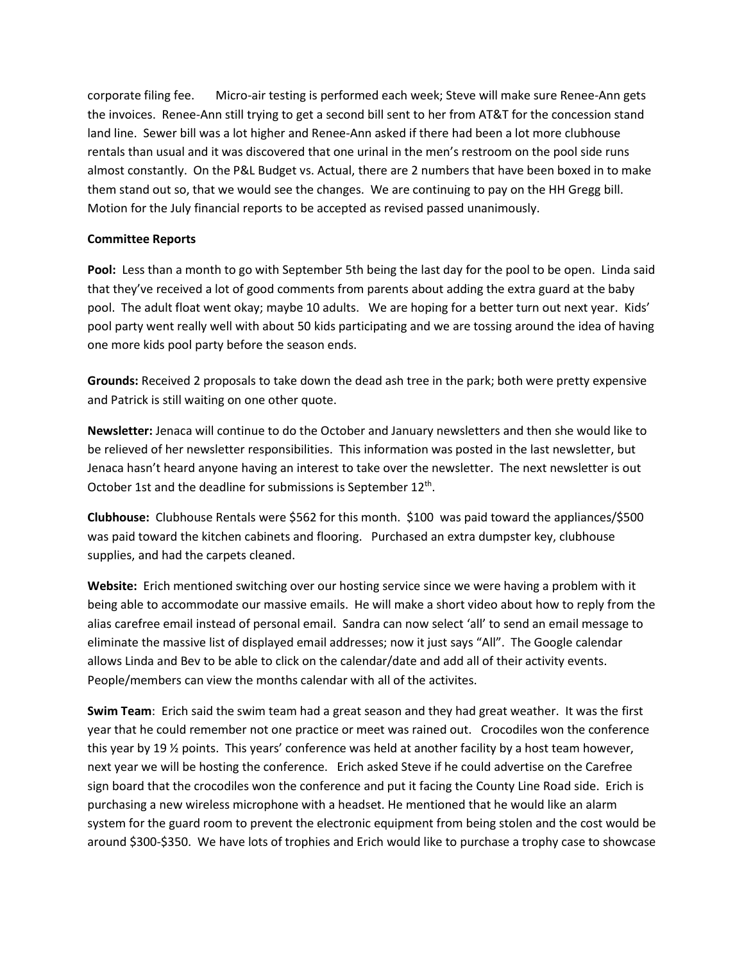corporate filing fee. Micro-air testing is performed each week; Steve will make sure Renee-Ann gets the invoices. Renee-Ann still trying to get a second bill sent to her from AT&T for the concession stand land line. Sewer bill was a lot higher and Renee-Ann asked if there had been a lot more clubhouse rentals than usual and it was discovered that one urinal in the men's restroom on the pool side runs almost constantly. On the P&L Budget vs. Actual, there are 2 numbers that have been boxed in to make them stand out so, that we would see the changes. We are continuing to pay on the HH Gregg bill. Motion for the July financial reports to be accepted as revised passed unanimously.

# **Committee Reports**

**Pool:** Less than a month to go with September 5th being the last day for the pool to be open. Linda said that they've received a lot of good comments from parents about adding the extra guard at the baby pool. The adult float went okay; maybe 10 adults. We are hoping for a better turn out next year. Kids' pool party went really well with about 50 kids participating and we are tossing around the idea of having one more kids pool party before the season ends.

**Grounds:** Received 2 proposals to take down the dead ash tree in the park; both were pretty expensive and Patrick is still waiting on one other quote.

**Newsletter:** Jenaca will continue to do the October and January newsletters and then she would like to be relieved of her newsletter responsibilities. This information was posted in the last newsletter, but Jenaca hasn't heard anyone having an interest to take over the newsletter. The next newsletter is out October 1st and the deadline for submissions is September 12<sup>th</sup>.

**Clubhouse:** Clubhouse Rentals were \$562 for this month. \$100 was paid toward the appliances/\$500 was paid toward the kitchen cabinets and flooring. Purchased an extra dumpster key, clubhouse supplies, and had the carpets cleaned.

**Website:** Erich mentioned switching over our hosting service since we were having a problem with it being able to accommodate our massive emails. He will make a short video about how to reply from the alias carefree email instead of personal email. Sandra can now select 'all' to send an email message to eliminate the massive list of displayed email addresses; now it just says "All". The Google calendar allows Linda and Bev to be able to click on the calendar/date and add all of their activity events. People/members can view the months calendar with all of the activites.

**Swim Team**: Erich said the swim team had a great season and they had great weather. It was the first year that he could remember not one practice or meet was rained out. Crocodiles won the conference this year by 19 ½ points. This years' conference was held at another facility by a host team however, next year we will be hosting the conference. Erich asked Steve if he could advertise on the Carefree sign board that the crocodiles won the conference and put it facing the County Line Road side. Erich is purchasing a new wireless microphone with a headset. He mentioned that he would like an alarm system for the guard room to prevent the electronic equipment from being stolen and the cost would be around \$300-\$350. We have lots of trophies and Erich would like to purchase a trophy case to showcase